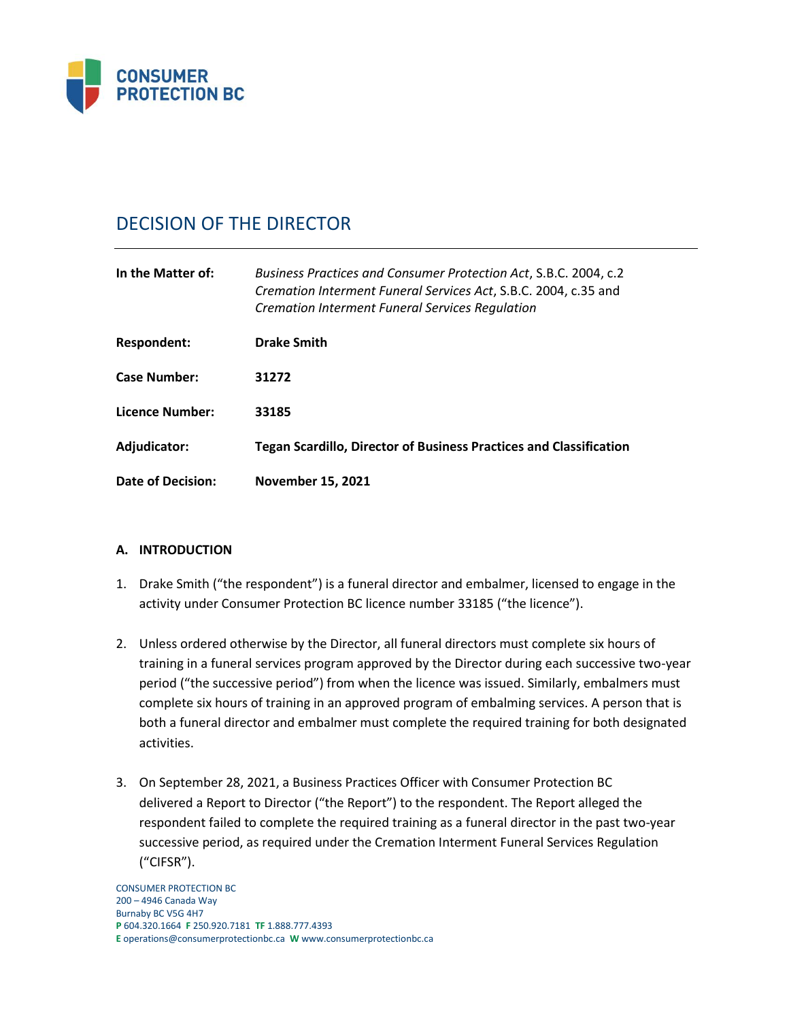

# DECISION OF THE DIRECTOR

| In the Matter of:        | Business Practices and Consumer Protection Act, S.B.C. 2004, c.2<br>Cremation Interment Funeral Services Act, S.B.C. 2004, c.35 and<br><b>Cremation Interment Funeral Services Regulation</b> |
|--------------------------|-----------------------------------------------------------------------------------------------------------------------------------------------------------------------------------------------|
| Respondent:              | <b>Drake Smith</b>                                                                                                                                                                            |
| <b>Case Number:</b>      | 31272                                                                                                                                                                                         |
| Licence Number:          | 33185                                                                                                                                                                                         |
| Adjudicator:             | <b>Tegan Scardillo, Director of Business Practices and Classification</b>                                                                                                                     |
| <b>Date of Decision:</b> | <b>November 15, 2021</b>                                                                                                                                                                      |

## **A. INTRODUCTION**

- 1. Drake Smith ("the respondent") is a funeral director and embalmer, licensed to engage in the activity under Consumer Protection BC licence number 33185 ("the licence").
- 2. Unless ordered otherwise by the Director, all funeral directors must complete six hours of training in a funeral services program approved by the Director during each successive two-year period ("the successive period") from when the licence was issued. Similarly, embalmers must complete six hours of training in an approved program of embalming services. A person that is both a funeral director and embalmer must complete the required training for both designated activities.
- 3. On September 28, 2021, a Business Practices Officer with Consumer Protection BC delivered a Report to Director ("the Report") to the respondent. The Report alleged the respondent failed to complete the required training as a funeral director in the past two-year successive period, as required under the Cremation Interment Funeral Services Regulation ("CIFSR").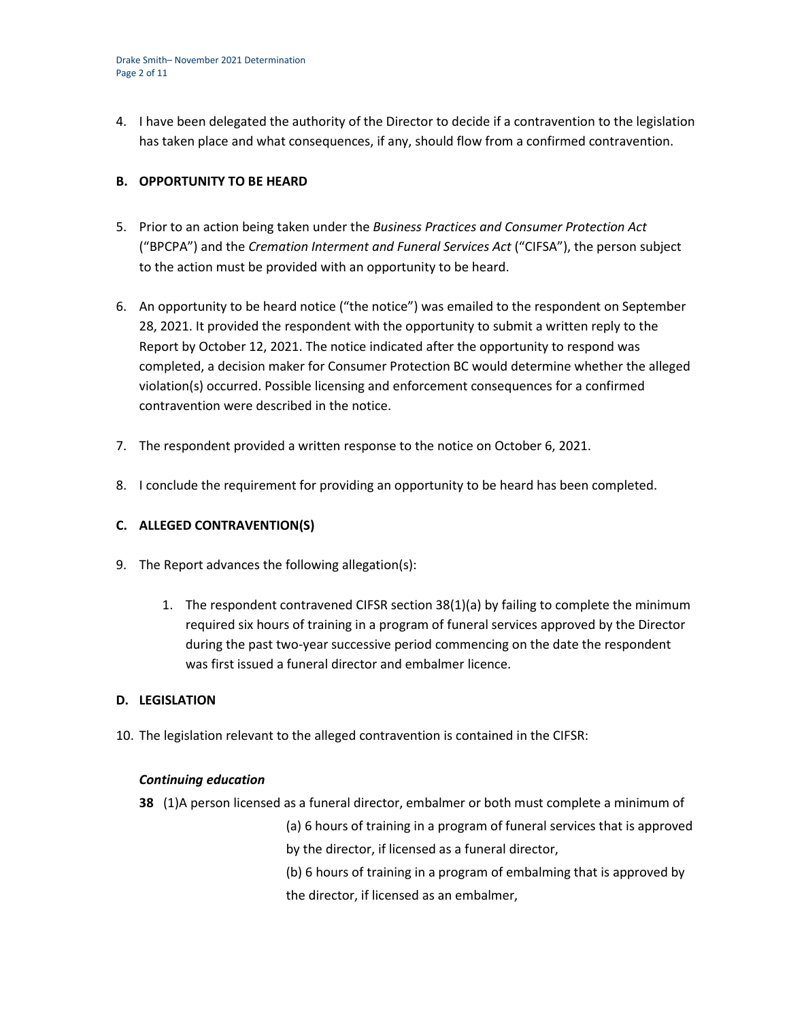4. I have been delegated the authority of the Director to decide if a contravention to the legislation has taken place and what consequences, if any, should flow from a confirmed contravention.

## **B. OPPORTUNITY TO BE HEARD**

- 5. Prior to an action being taken under the *Business Practices and Consumer Protection Act*  ("BPCPA") and the *Cremation Interment and Funeral Services Act* ("CIFSA"), the person subject to the action must be provided with an opportunity to be heard.
- 6. An opportunity to be heard notice ("the notice") was emailed to the respondent on September 28, 2021. It provided the respondent with the opportunity to submit a written reply to the Report by October 12, 2021. The notice indicated after the opportunity to respond was completed, a decision maker for Consumer Protection BC would determine whether the alleged violation(s) occurred. Possible licensing and enforcement consequences for a confirmed contravention were described in the notice.
- 7. The respondent provided a written response to the notice on October 6, 2021.
- 8. I conclude the requirement for providing an opportunity to be heard has been completed.

## **C. ALLEGED CONTRAVENTION(S)**

- 9. The Report advances the following allegation(s):
	- 1. The respondent contravened CIFSR section 38(1)(a) by failing to complete the minimum required six hours of training in a program of funeral services approved by the Director during the past two-year successive period commencing on the date the respondent was first issued a funeral director and embalmer licence.

## **D. LEGISLATION**

10. The legislation relevant to the alleged contravention is contained in the CIFSR:

## *Continuing education*

**38** (1)A person licensed as a funeral director, embalmer or both must complete a minimum of

(a) 6 hours of training in a program of funeral services that is approved by the director, if licensed as a funeral director,

(b) 6 hours of training in a program of embalming that is approved by the director, if licensed as an embalmer,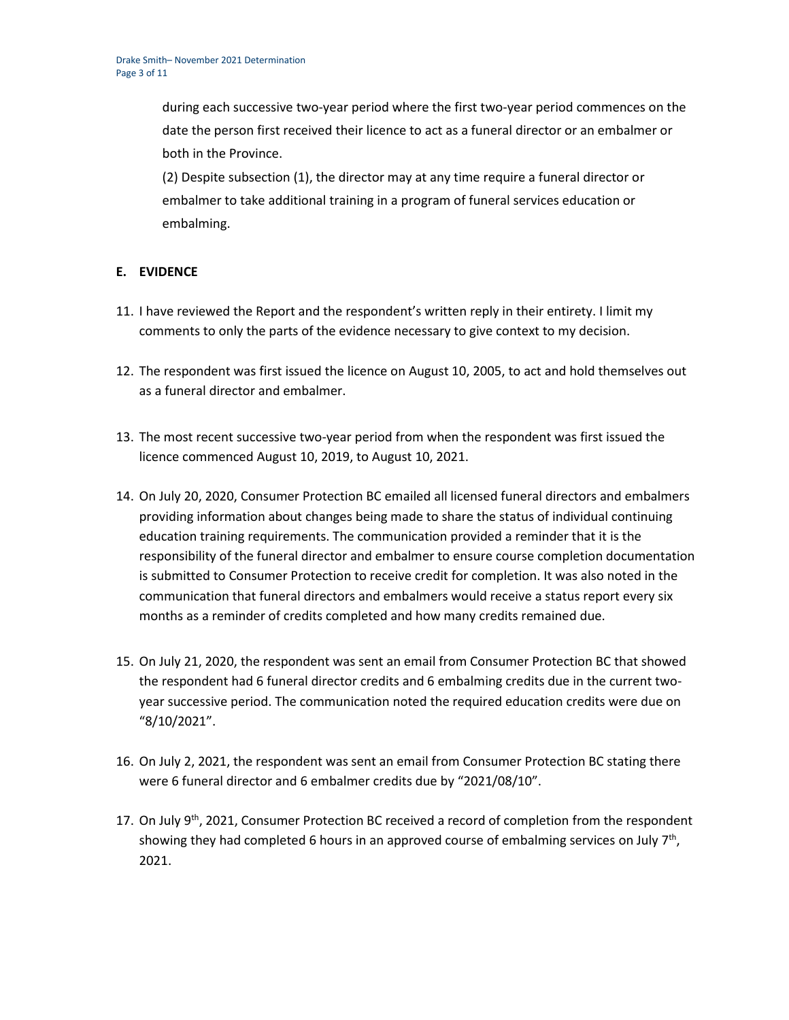during each successive two-year period where the first two-year period commences on the date the person first received their licence to act as a funeral director or an embalmer or both in the Province.

(2) Despite subsection (1), the director may at any time require a funeral director or embalmer to take additional training in a program of funeral services education or embalming.

## **E. EVIDENCE**

- 11. I have reviewed the Report and the respondent's written reply in their entirety. I limit my comments to only the parts of the evidence necessary to give context to my decision.
- 12. The respondent was first issued the licence on August 10, 2005, to act and hold themselves out as a funeral director and embalmer.
- 13. The most recent successive two-year period from when the respondent was first issued the licence commenced August 10, 2019, to August 10, 2021.
- 14. On July 20, 2020, Consumer Protection BC emailed all licensed funeral directors and embalmers providing information about changes being made to share the status of individual continuing education training requirements. The communication provided a reminder that it is the responsibility of the funeral director and embalmer to ensure course completion documentation is submitted to Consumer Protection to receive credit for completion. It was also noted in the communication that funeral directors and embalmers would receive a status report every six months as a reminder of credits completed and how many credits remained due.
- 15. On July 21, 2020, the respondent was sent an email from Consumer Protection BC that showed the respondent had 6 funeral director credits and 6 embalming credits due in the current twoyear successive period. The communication noted the required education credits were due on "8/10/2021".
- 16. On July 2, 2021, the respondent was sent an email from Consumer Protection BC stating there were 6 funeral director and 6 embalmer credits due by "2021/08/10".
- 17. On July 9<sup>th</sup>, 2021, Consumer Protection BC received a record of completion from the respondent showing they had completed 6 hours in an approved course of embalming services on July  $7<sup>th</sup>$ , 2021.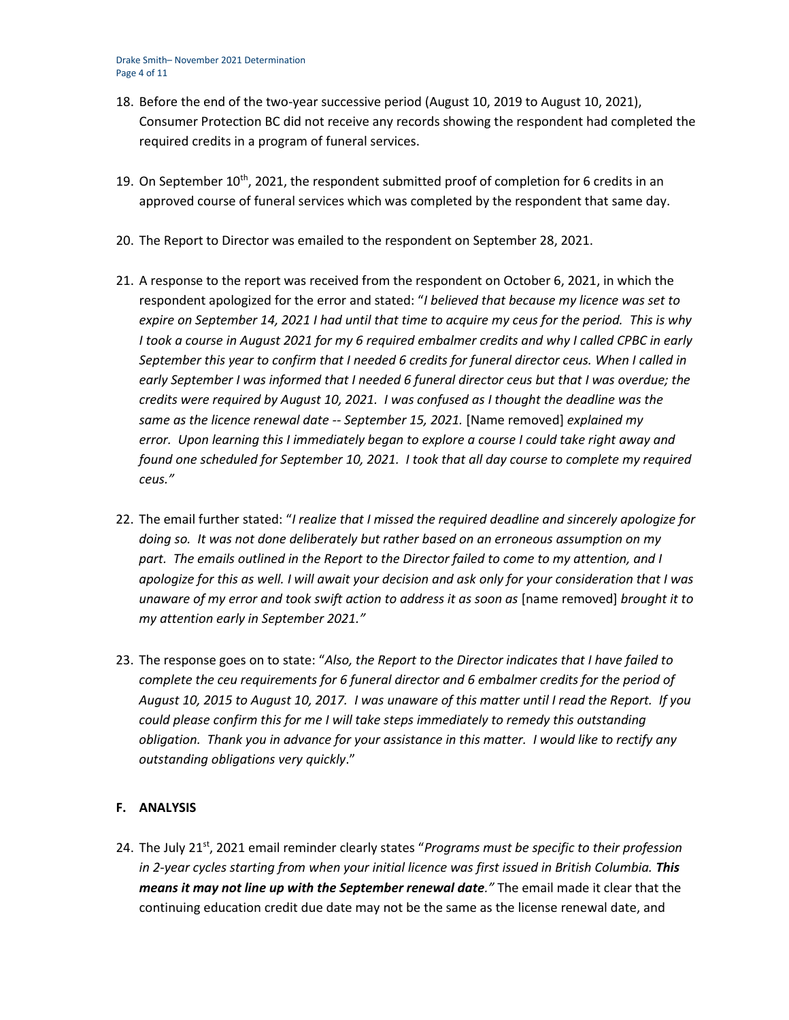- 18. Before the end of the two-year successive period (August 10, 2019 to August 10, 2021), Consumer Protection BC did not receive any records showing the respondent had completed the required credits in a program of funeral services.
- 19. On September  $10^{th}$ , 2021, the respondent submitted proof of completion for 6 credits in an approved course of funeral services which was completed by the respondent that same day.
- 20. The Report to Director was emailed to the respondent on September 28, 2021.
- 21. A response to the report was received from the respondent on October 6, 2021, in which the respondent apologized for the error and stated: "*I believed that because my licence was set to expire on September 14, 2021 I had until that time to acquire my ceus for the period. This is why I took a course in August 2021 for my 6 required embalmer credits and why I called CPBC in early September this year to confirm that I needed 6 credits for funeral director ceus. When I called in early September I was informed that I needed 6 funeral director ceus but that I was overdue; the credits were required by August 10, 2021. I was confused as I thought the deadline was the same as the licence renewal date -- September 15, 2021.* [Name removed] *explained my error. Upon learning this I immediately began to explore a course I could take right away and found one scheduled for September 10, 2021. I took that all day course to complete my required ceus."*
- 22. The email further stated: "*I realize that I missed the required deadline and sincerely apologize for doing so. It was not done deliberately but rather based on an erroneous assumption on my part. The emails outlined in the Report to the Director failed to come to my attention, and I apologize for this as well. I will await your decision and ask only for your consideration that I was unaware of my error and took swift action to address it as soon as* [name removed] *brought it to my attention early in September 2021."*
- 23. The response goes on to state: "*Also, the Report to the Director indicates that I have failed to complete the ceu requirements for 6 funeral director and 6 embalmer credits for the period of August 10, 2015 to August 10, 2017. I was unaware of this matter until I read the Report. If you could please confirm this for me I will take steps immediately to remedy this outstanding obligation. Thank you in advance for your assistance in this matter. I would like to rectify any outstanding obligations very quickly*."

# **F. ANALYSIS**

24. The July 21st, 2021 email reminder clearly states "*Programs must be specific to their profession in 2-year cycles starting from when your initial licence was first issued in British Columbia. This means it may not line up with the September renewal date."* The email made it clear that the continuing education credit due date may not be the same as the license renewal date, and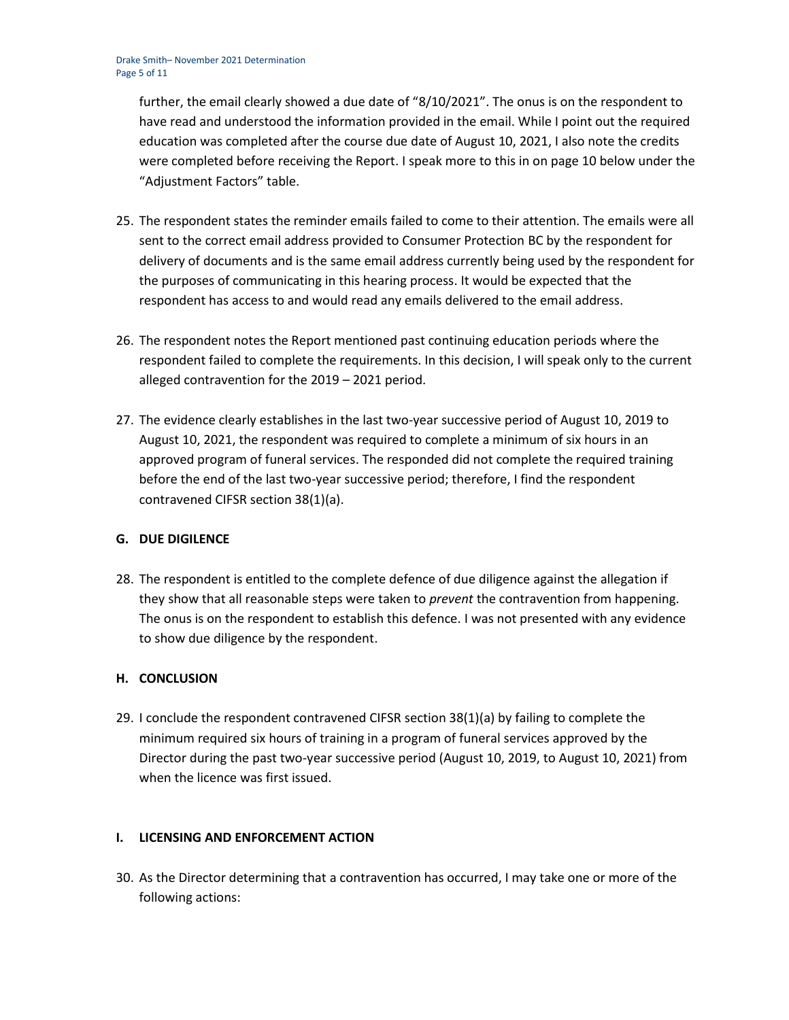further, the email clearly showed a due date of "8/10/2021". The onus is on the respondent to have read and understood the information provided in the email. While I point out the required education was completed after the course due date of August 10, 2021, I also note the credits were completed before receiving the Report. I speak more to this in on page 10 below under the "Adjustment Factors" table.

- 25. The respondent states the reminder emails failed to come to their attention. The emails were all sent to the correct email address provided to Consumer Protection BC by the respondent for delivery of documents and is the same email address currently being used by the respondent for the purposes of communicating in this hearing process. It would be expected that the respondent has access to and would read any emails delivered to the email address.
- 26. The respondent notes the Report mentioned past continuing education periods where the respondent failed to complete the requirements. In this decision, I will speak only to the current alleged contravention for the 2019 – 2021 period.
- 27. The evidence clearly establishes in the last two-year successive period of August 10, 2019 to August 10, 2021, the respondent was required to complete a minimum of six hours in an approved program of funeral services. The responded did not complete the required training before the end of the last two-year successive period; therefore, I find the respondent contravened CIFSR section 38(1)(a).

# **G. DUE DIGILENCE**

28. The respondent is entitled to the complete defence of due diligence against the allegation if they show that all reasonable steps were taken to *prevent* the contravention from happening. The onus is on the respondent to establish this defence. I was not presented with any evidence to show due diligence by the respondent.

# **H. CONCLUSION**

29. I conclude the respondent contravened CIFSR section 38(1)(a) by failing to complete the minimum required six hours of training in a program of funeral services approved by the Director during the past two-year successive period (August 10, 2019, to August 10, 2021) from when the licence was first issued.

## **I. LICENSING AND ENFORCEMENT ACTION**

30. As the Director determining that a contravention has occurred, I may take one or more of the following actions: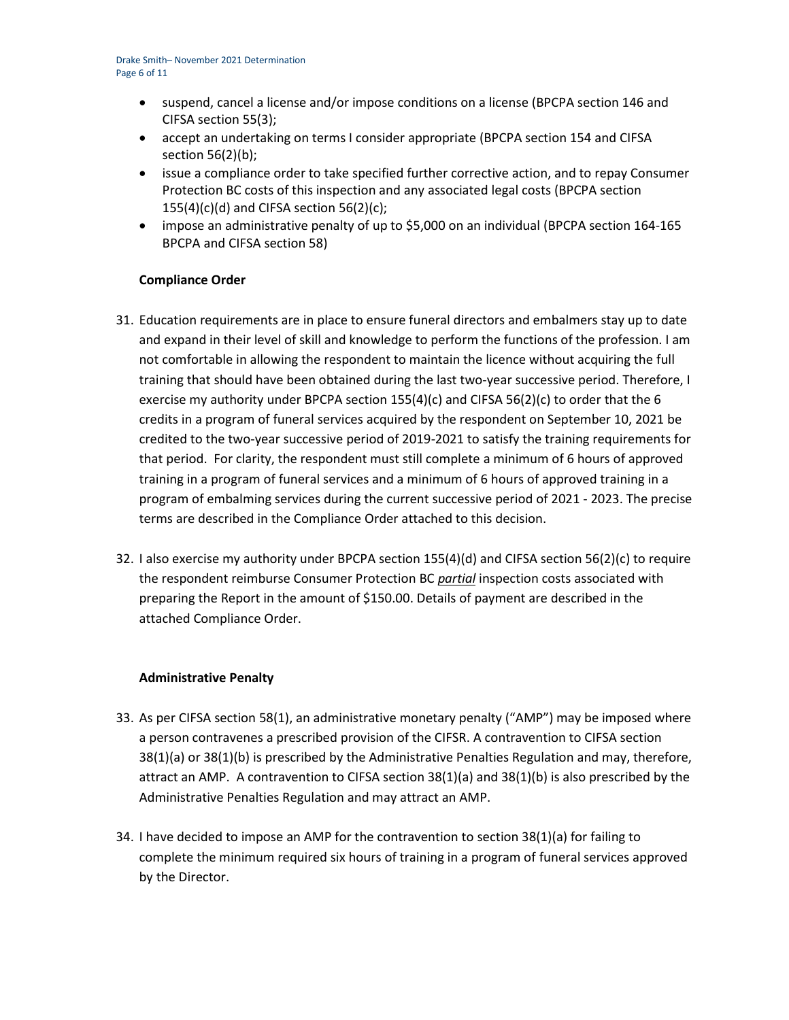- suspend, cancel a license and/or impose conditions on a license (BPCPA section 146 and CIFSA section 55(3);
- accept an undertaking on terms I consider appropriate (BPCPA section 154 and CIFSA section 56(2)(b);
- issue a compliance order to take specified further corrective action, and to repay Consumer Protection BC costs of this inspection and any associated legal costs (BPCPA section  $155(4)(c)(d)$  and CIFSA section 56(2)(c);
- impose an administrative penalty of up to \$5,000 on an individual (BPCPA section 164-165 BPCPA and CIFSA section 58)

## **Compliance Order**

- 31. Education requirements are in place to ensure funeral directors and embalmers stay up to date and expand in their level of skill and knowledge to perform the functions of the profession. I am not comfortable in allowing the respondent to maintain the licence without acquiring the full training that should have been obtained during the last two-year successive period. Therefore, I exercise my authority under BPCPA section  $155(4)(c)$  and CIFSA 56(2)(c) to order that the 6 credits in a program of funeral services acquired by the respondent on September 10, 2021 be credited to the two-year successive period of 2019-2021 to satisfy the training requirements for that period. For clarity, the respondent must still complete a minimum of 6 hours of approved training in a program of funeral services and a minimum of 6 hours of approved training in a program of embalming services during the current successive period of 2021 - 2023. The precise terms are described in the Compliance Order attached to this decision.
- 32. I also exercise my authority under BPCPA section 155(4)(d) and CIFSA section 56(2)(c) to require the respondent reimburse Consumer Protection BC *partial* inspection costs associated with preparing the Report in the amount of \$150.00. Details of payment are described in the attached Compliance Order.

## **Administrative Penalty**

- 33. As per CIFSA section 58(1), an administrative monetary penalty ("AMP") may be imposed where a person contravenes a prescribed provision of the CIFSR. A contravention to CIFSA section 38(1)(a) or 38(1)(b) is prescribed by the Administrative Penalties Regulation and may, therefore, attract an AMP. A contravention to CIFSA section 38(1)(a) and 38(1)(b) is also prescribed by the Administrative Penalties Regulation and may attract an AMP.
- 34. I have decided to impose an AMP for the contravention to section 38(1)(a) for failing to complete the minimum required six hours of training in a program of funeral services approved by the Director.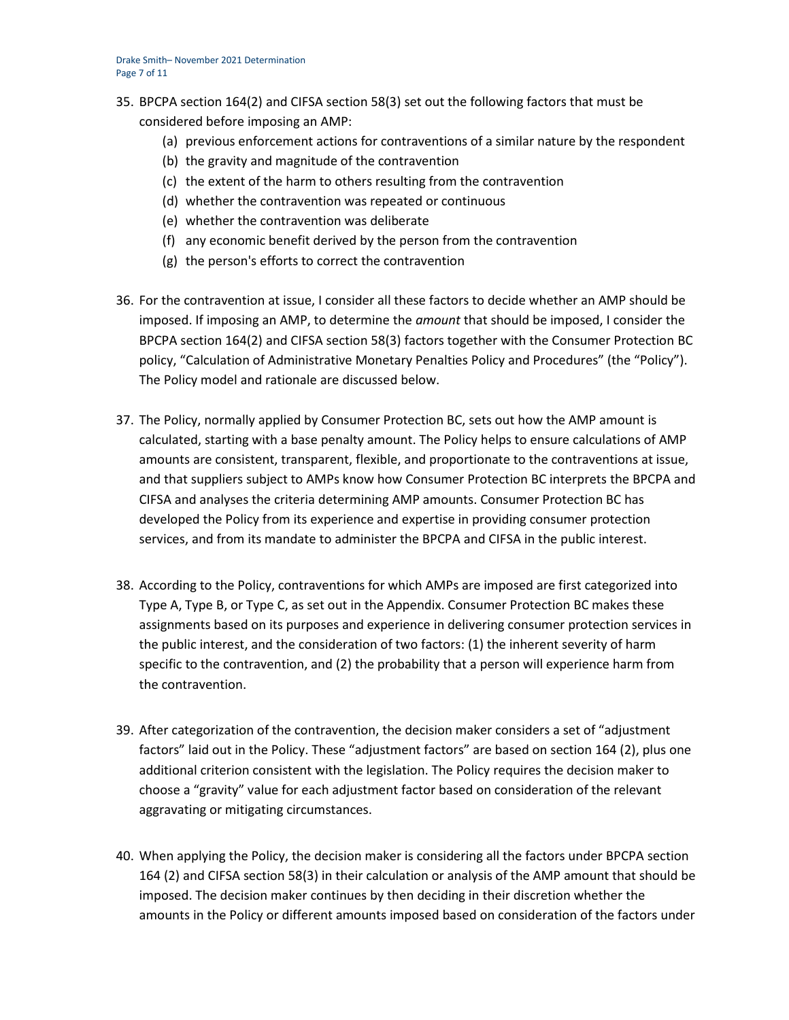Drake Smith– November 2021 Determination Page 7 of 11

- 35. BPCPA section 164(2) and CIFSA section 58(3) set out the following factors that must be considered before imposing an AMP:
	- (a) previous enforcement actions for contraventions of a similar nature by the respondent
	- (b) the gravity and magnitude of the contravention
	- (c) the extent of the harm to others resulting from the contravention
	- (d) whether the contravention was repeated or continuous
	- (e) whether the contravention was deliberate
	- (f) any economic benefit derived by the person from the contravention
	- (g) the person's efforts to correct the contravention
- 36. For the contravention at issue, I consider all these factors to decide whether an AMP should be imposed. If imposing an AMP, to determine the *amount* that should be imposed, I consider the BPCPA section 164(2) and CIFSA section 58(3) factors together with the Consumer Protection BC policy, "Calculation of Administrative Monetary Penalties Policy and Procedures" (the "Policy"). The Policy model and rationale are discussed below.
- 37. The Policy, normally applied by Consumer Protection BC, sets out how the AMP amount is calculated, starting with a base penalty amount. The Policy helps to ensure calculations of AMP amounts are consistent, transparent, flexible, and proportionate to the contraventions at issue, and that suppliers subject to AMPs know how Consumer Protection BC interprets the BPCPA and CIFSA and analyses the criteria determining AMP amounts. Consumer Protection BC has developed the Policy from its experience and expertise in providing consumer protection services, and from its mandate to administer the BPCPA and CIFSA in the public interest.
- 38. According to the Policy, contraventions for which AMPs are imposed are first categorized into Type A, Type B, or Type C, as set out in the Appendix. Consumer Protection BC makes these assignments based on its purposes and experience in delivering consumer protection services in the public interest, and the consideration of two factors: (1) the inherent severity of harm specific to the contravention, and (2) the probability that a person will experience harm from the contravention.
- 39. After categorization of the contravention, the decision maker considers a set of "adjustment factors" laid out in the Policy. These "adjustment factors" are based on section 164 (2), plus one additional criterion consistent with the legislation. The Policy requires the decision maker to choose a "gravity" value for each adjustment factor based on consideration of the relevant aggravating or mitigating circumstances.
- 40. When applying the Policy, the decision maker is considering all the factors under BPCPA section 164 (2) and CIFSA section 58(3) in their calculation or analysis of the AMP amount that should be imposed. The decision maker continues by then deciding in their discretion whether the amounts in the Policy or different amounts imposed based on consideration of the factors under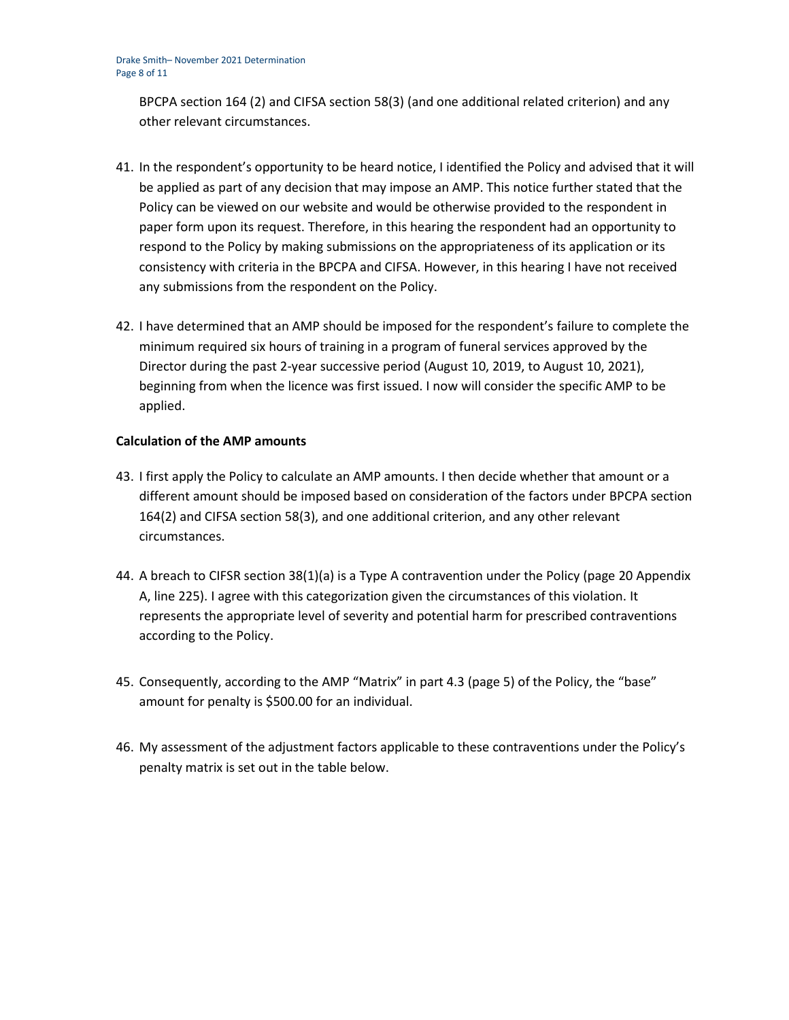BPCPA section 164 (2) and CIFSA section 58(3) (and one additional related criterion) and any other relevant circumstances.

- 41. In the respondent's opportunity to be heard notice, I identified the Policy and advised that it will be applied as part of any decision that may impose an AMP. This notice further stated that the Policy can be viewed on our website and would be otherwise provided to the respondent in paper form upon its request. Therefore, in this hearing the respondent had an opportunity to respond to the Policy by making submissions on the appropriateness of its application or its consistency with criteria in the BPCPA and CIFSA. However, in this hearing I have not received any submissions from the respondent on the Policy.
- 42. I have determined that an AMP should be imposed for the respondent's failure to complete the minimum required six hours of training in a program of funeral services approved by the Director during the past 2-year successive period (August 10, 2019, to August 10, 2021), beginning from when the licence was first issued. I now will consider the specific AMP to be applied.

## **Calculation of the AMP amounts**

- 43. I first apply the Policy to calculate an AMP amounts. I then decide whether that amount or a different amount should be imposed based on consideration of the factors under BPCPA section 164(2) and CIFSA section 58(3), and one additional criterion, and any other relevant circumstances.
- 44. A breach to CIFSR section 38(1)(a) is a Type A contravention under the Policy (page 20 Appendix A, line 225). I agree with this categorization given the circumstances of this violation. It represents the appropriate level of severity and potential harm for prescribed contraventions according to the Policy.
- 45. Consequently, according to the AMP "Matrix" in part 4.3 (page 5) of the Policy, the "base" amount for penalty is \$500.00 for an individual.
- 46. My assessment of the adjustment factors applicable to these contraventions under the Policy's penalty matrix is set out in the table below.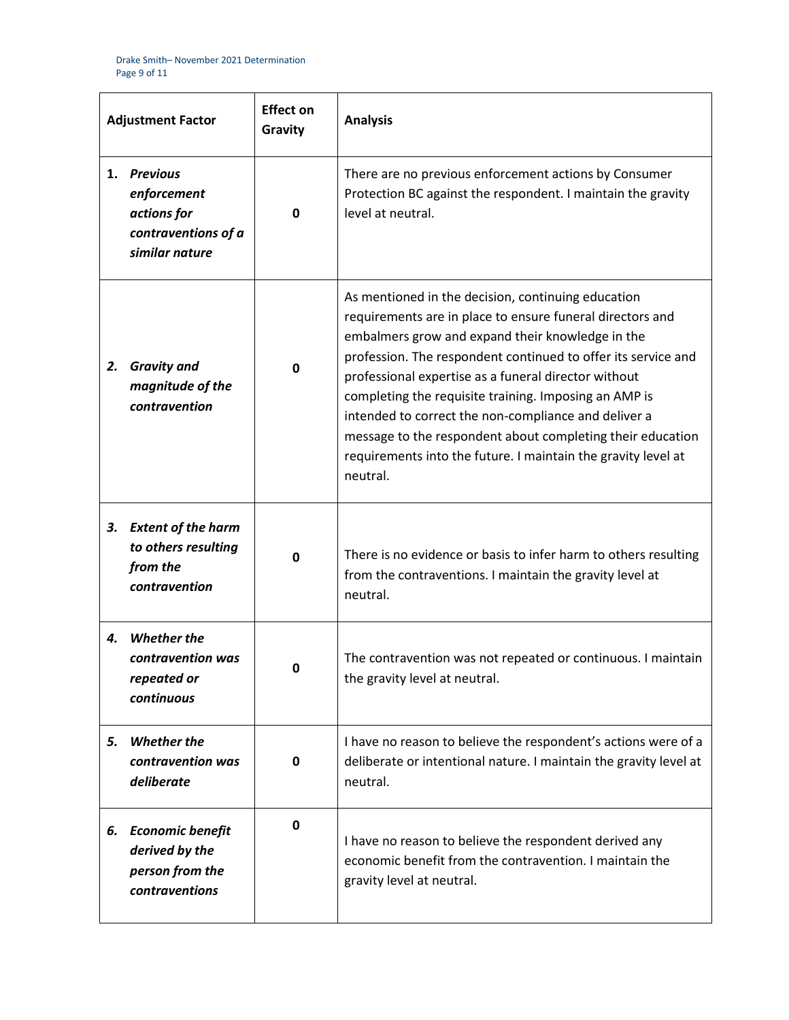| <b>Adjustment Factor</b> |                                                                                        | <b>Effect on</b><br>Gravity | <b>Analysis</b>                                                                                                                                                                                                                                                                                                                                                                                                                                                                                                                                          |
|--------------------------|----------------------------------------------------------------------------------------|-----------------------------|----------------------------------------------------------------------------------------------------------------------------------------------------------------------------------------------------------------------------------------------------------------------------------------------------------------------------------------------------------------------------------------------------------------------------------------------------------------------------------------------------------------------------------------------------------|
| 1.                       | <b>Previous</b><br>enforcement<br>actions for<br>contraventions of a<br>similar nature | 0                           | There are no previous enforcement actions by Consumer<br>Protection BC against the respondent. I maintain the gravity<br>level at neutral.                                                                                                                                                                                                                                                                                                                                                                                                               |
| 2.                       | <b>Gravity and</b><br>magnitude of the<br>contravention                                | 0                           | As mentioned in the decision, continuing education<br>requirements are in place to ensure funeral directors and<br>embalmers grow and expand their knowledge in the<br>profession. The respondent continued to offer its service and<br>professional expertise as a funeral director without<br>completing the requisite training. Imposing an AMP is<br>intended to correct the non-compliance and deliver a<br>message to the respondent about completing their education<br>requirements into the future. I maintain the gravity level at<br>neutral. |
| 3.                       | <b>Extent of the harm</b><br>to others resulting<br>from the<br>contravention          | 0                           | There is no evidence or basis to infer harm to others resulting<br>from the contraventions. I maintain the gravity level at<br>neutral.                                                                                                                                                                                                                                                                                                                                                                                                                  |
| 4.                       | <b>Whether the</b><br>contravention was<br>repeated or<br>continuous                   | O                           | The contravention was not repeated or continuous. I maintain<br>the gravity level at neutral.                                                                                                                                                                                                                                                                                                                                                                                                                                                            |
| 5.                       | <b>Whether the</b><br>contravention was<br>deliberate                                  | 0                           | I have no reason to believe the respondent's actions were of a<br>deliberate or intentional nature. I maintain the gravity level at<br>neutral.                                                                                                                                                                                                                                                                                                                                                                                                          |
| 6.                       | <b>Economic benefit</b><br>derived by the<br>person from the<br>contraventions         | 0                           | I have no reason to believe the respondent derived any<br>economic benefit from the contravention. I maintain the<br>gravity level at neutral.                                                                                                                                                                                                                                                                                                                                                                                                           |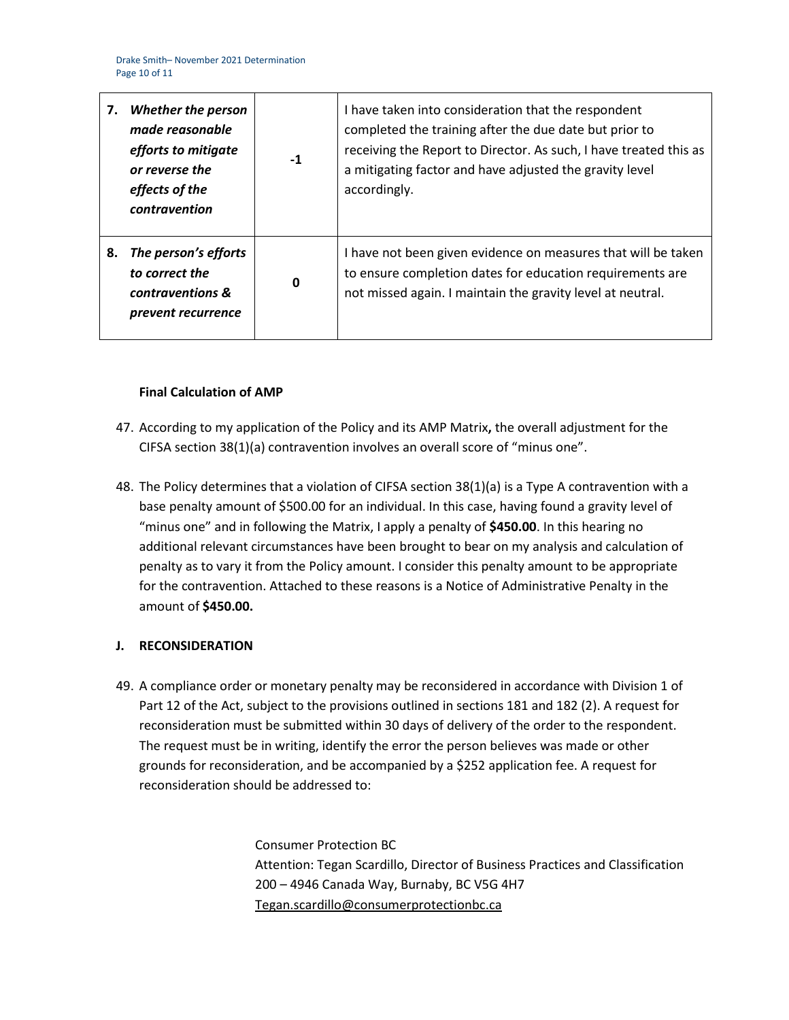| 7. | <b>Whether the person</b><br>made reasonable<br>efforts to mitigate<br>or reverse the<br>effects of the<br>contravention | $-1$ | have taken into consideration that the respondent<br>completed the training after the due date but prior to<br>receiving the Report to Director. As such, I have treated this as<br>a mitigating factor and have adjusted the gravity level<br>accordingly. |
|----|--------------------------------------------------------------------------------------------------------------------------|------|-------------------------------------------------------------------------------------------------------------------------------------------------------------------------------------------------------------------------------------------------------------|
| 8. | The person's efforts<br>to correct the<br>contraventions &<br>prevent recurrence                                         | 0    | have not been given evidence on measures that will be taken<br>to ensure completion dates for education requirements are<br>not missed again. I maintain the gravity level at neutral.                                                                      |

## **Final Calculation of AMP**

- 47. According to my application of the Policy and its AMP Matrix**,** the overall adjustment for the CIFSA section 38(1)(a) contravention involves an overall score of "minus one".
- 48. The Policy determines that a violation of CIFSA section 38(1)(a) is a Type A contravention with a base penalty amount of \$500.00 for an individual. In this case, having found a gravity level of "minus one" and in following the Matrix, I apply a penalty of **\$450.00**. In this hearing no additional relevant circumstances have been brought to bear on my analysis and calculation of penalty as to vary it from the Policy amount. I consider this penalty amount to be appropriate for the contravention. Attached to these reasons is a Notice of Administrative Penalty in the amount of **\$450.00.**

# **J. RECONSIDERATION**

49. A compliance order or monetary penalty may be reconsidered in accordance with Division 1 of Part 12 of the Act, subject to the provisions outlined in sections 181 and 182 (2). A request for reconsideration must be submitted within 30 days of delivery of the order to the respondent. The request must be in writing, identify the error the person believes was made or other grounds for reconsideration, and be accompanied by a \$252 application fee. A request for reconsideration should be addressed to:

> Consumer Protection BC Attention: Tegan Scardillo, Director of Business Practices and Classification 200 – 4946 Canada Way, Burnaby, BC V5G 4H7 Tegan.scardillo@consumerprotectionbc.ca